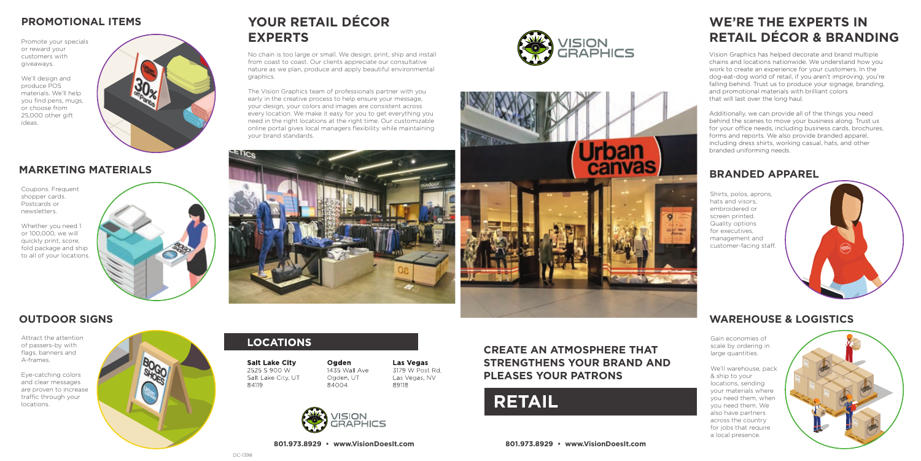

# **WE'RE THE EXPERTS IN RETAIL DÉCOR & BRANDING**

Vision Graphics has helped decorate and brand multiple chains and locations nationwide. We understand how you work to create an experience for your customers. In the dog-eat-dog world of retail, if you aren't improving, you're falling behind. Trust us to produce your signage, branding, and promotional materials with brilliant colors that will last over the long haul.

Additionally, we can provide all of the things you need behind the scenes to move your business along. Trust us for your office needs, including business cards, brochures, forms and reports. We also provide branded apparel, including dress shirts, working casual, hats, and other branded uniforming needs.

### **MARKETING MATERIALS**

### **OUTDOOR SIGNS**

Coupons. Frequent shopper cards. Postcards or newsletters.

Shirts, polos, aprons, hats and visors, embroidered or screen printed. Quality options for executives, management and customer-facing staff.

Whether you need 1 or 100,000, we will quickly print, score, fold package and ship to all of your locations.



### **PROMOTIONAL ITEMS**

Promote your specials or reward your customers with giveaways.

We'll design and produce POS materials. We'll help you find pens, mugs, or choose from 25,000 other gift ideas.



Attract the attention of passers-by with flags, banners and A-frames.

> $\frac{1}{2}$ **801.973.8929 • www.VisionDoesIt.com**

Eye-catching colors and clear messages are proven to increase traffic through your locations.



## **LOCATIONS**

**Salt Lake City** 2525 S 900 W Salt Lake City, UT 84119

Ogden 1435 Wall Ave Ogden, UT 84004

> **ISION RAPHICS**

**Las Vegas** 3179 W Post Rd. Las Vegas, NV 89118

### **BRANDED APPAREL**

## **WAREHOUSE & LOGISTICS**

Gain economies of scale by ordering in large quantities.

We'll warehouse, pack & ship to your locations, sending your materials where you need them, when you need them. We also have partners across the country for jobs that require a local presence.



# **YOUR RETAIL DÉCOR EXPERTS**

No chain is too large or small. We design, print, ship and install from coast to coast. Our clients appreciate our consultative nature as we plan, produce and apply beautiful environmental graphics.

The Vision Graphics team of professionals partner with you early in the creative process to help ensure your message, your design, your colors and images are consistent across every location. We make it easy for you to get everything you need in the right locations at the right time. Our customizable online portal gives local managers flexibility while maintaining your brand standards.







**801.973.8929 • www.VisionDoesIt.com**

### **CREATE AN ATMOSPHERE THAT STRENGTHENS YOUR BRAND AND PLEASES YOUR PATRONS**